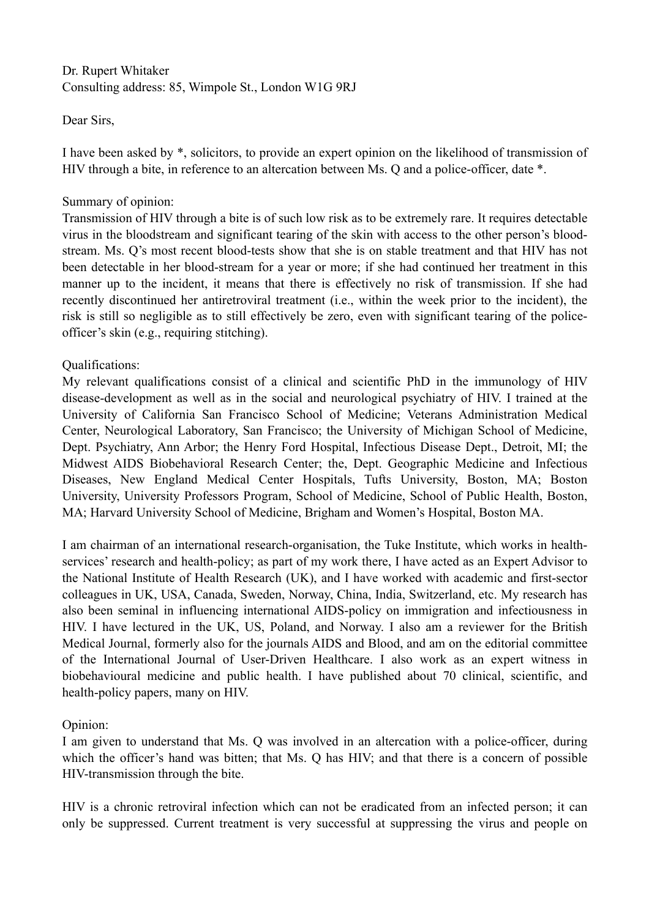# Dr. Rupert Whitaker Consulting address: 85, Wimpole St., London W1G 9RJ

### Dear Sirs,

I have been asked by \*, solicitors, to provide an expert opinion on the likelihood of transmission of HIV through a bite, in reference to an altercation between Ms. Q and a police-officer, date \*.

### Summary of opinion:

Transmission of HIV through a bite is of such low risk as to be extremely rare. It requires detectable virus in the bloodstream and significant tearing of the skin with access to the other person's bloodstream. Ms. Q's most recent blood-tests show that she is on stable treatment and that HIV has not been detectable in her blood-stream for a year or more; if she had continued her treatment in this manner up to the incident, it means that there is effectively no risk of transmission. If she had recently discontinued her antiretroviral treatment (i.e., within the week prior to the incident), the risk is still so negligible as to still effectively be zero, even with significant tearing of the policeofficer's skin (e.g., requiring stitching).

### Qualifications:

My relevant qualifications consist of a clinical and scientific PhD in the immunology of HIV disease-development as well as in the social and neurological psychiatry of HIV. I trained at the University of California San Francisco School of Medicine; Veterans Administration Medical Center, Neurological Laboratory, San Francisco; the University of Michigan School of Medicine, Dept. Psychiatry, Ann Arbor; the Henry Ford Hospital, Infectious Disease Dept., Detroit, MI; the Midwest AIDS Biobehavioral Research Center; the, Dept. Geographic Medicine and Infectious Diseases, New England Medical Center Hospitals, Tufts University, Boston, MA; Boston University, University Professors Program, School of Medicine, School of Public Health, Boston, MA; Harvard University School of Medicine, Brigham and Women's Hospital, Boston MA.

I am chairman of an international research-organisation, the Tuke Institute, which works in healthservices' research and health-policy; as part of my work there, I have acted as an Expert Advisor to the National Institute of Health Research (UK), and I have worked with academic and first-sector colleagues in UK, USA, Canada, Sweden, Norway, China, India, Switzerland, etc. My research has also been seminal in influencing international AIDS-policy on immigration and infectiousness in HIV. I have lectured in the UK, US, Poland, and Norway. I also am a reviewer for the British Medical Journal, formerly also for the journals AIDS and Blood, and am on the editorial committee of the International Journal of User-Driven Healthcare. I also work as an expert witness in biobehavioural medicine and public health. I have published about 70 clinical, scientific, and health-policy papers, many on HIV.

# Opinion:

I am given to understand that Ms. Q was involved in an altercation with a police-officer, during which the officer's hand was bitten; that Ms. O has HIV; and that there is a concern of possible HIV-transmission through the bite.

HIV is a chronic retroviral infection which can not be eradicated from an infected person; it can only be suppressed. Current treatment is very successful at suppressing the virus and people on